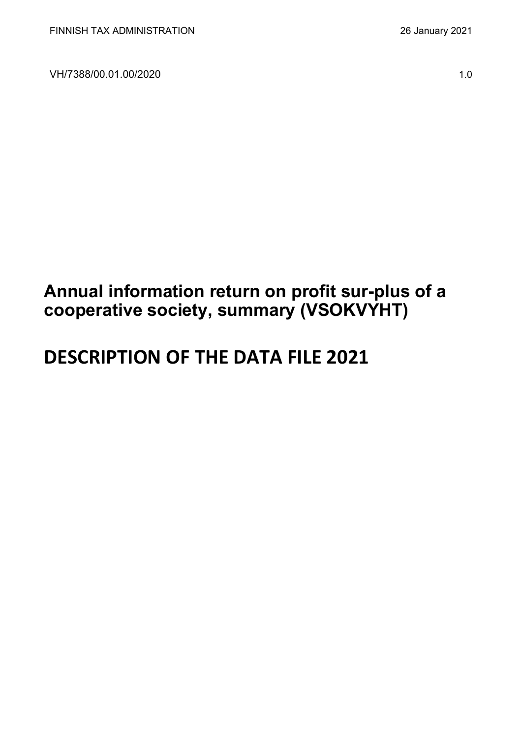VH/7388/00.01.00/2020 1.0

## **Annual information return on profit sur-plus of a cooperative society, summary (VSOKVYHT)**

# **DESCRIPTION OF THE DATA FILE 2021**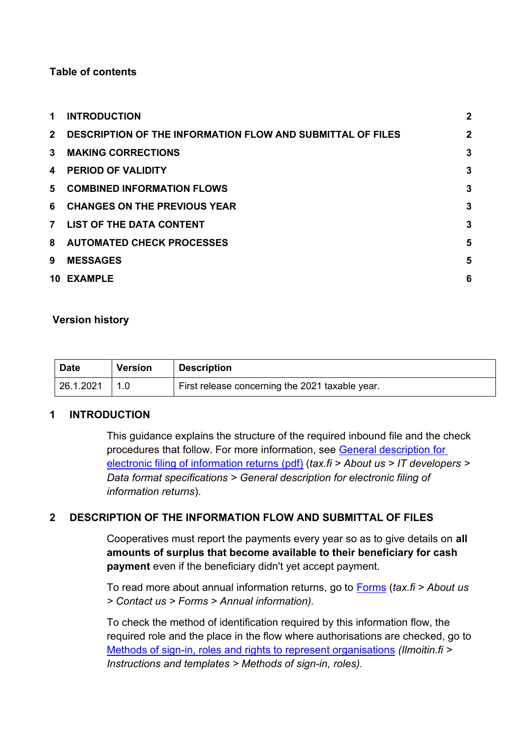#### **Table of contents**

| 1              | <b>INTRODUCTION</b>                                               | $\overline{2}$ |
|----------------|-------------------------------------------------------------------|----------------|
| 2 <sup>1</sup> | <b>DESCRIPTION OF THE INFORMATION FLOW AND SUBMITTAL OF FILES</b> | $\overline{2}$ |
| $\mathbf{3}$   | <b>MAKING CORRECTIONS</b>                                         | 3              |
| 4              | <b>PERIOD OF VALIDITY</b>                                         | 3              |
|                | 5 COMBINED INFORMATION FLOWS                                      | 3              |
| 6              | <b>CHANGES ON THE PREVIOUS YEAR</b>                               | 3              |
| $\overline{7}$ | <b>LIST OF THE DATA CONTENT</b>                                   | 3              |
|                | 8 AUTOMATED CHECK PROCESSES                                       | 5              |
| 9              | <b>MESSAGES</b>                                                   | 5              |
|                | 10 EXAMPLE                                                        | 6              |

#### **Version history**

| <b>Date</b> | <b>Version</b> | <b>Description</b>                              |
|-------------|----------------|-------------------------------------------------|
| 26.1.2021   |                | First release concerning the 2021 taxable year. |

#### <span id="page-1-0"></span>**1 INTRODUCTION**

This guidance explains the structure of the required inbound file and the check procedures that follow. For more information, see [General description for](https://www.vero.fi/globalassets/tietoa-verohallinnosta/ohjelmistokehittajille/finnish-tax-administration_electronic-filing-of-information-returns-general-description.pdf)  [electronic filing of information returns \(pdf\)](https://www.vero.fi/globalassets/tietoa-verohallinnosta/ohjelmistokehittajille/finnish-tax-administration_electronic-filing-of-information-returns-general-description.pdf) (*tax.fi > About us > IT developers > Data format specifications > General description for electronic filing of information returns*).

#### <span id="page-1-1"></span>**2 DESCRIPTION OF THE INFORMATION FLOW AND SUBMITTAL OF FILES**

Cooperatives must report the payments every year so as to give details on **all amounts of surplus that become available to their beneficiary for cash payment** even if the beneficiary didn't yet accept payment.

To read more about annual information returns, go to [Forms](https://www.vero.fi/en/About-us/contact-us/forms/) (*tax.fi > About us > Contact us > Forms > Annual information).*

To check the method of identification required by this information flow, the required role and the place in the flow where authorisations are checked, go to [Methods of sign-in, roles and rights to represent organisations](https://www.ilmoitin.fi/webtamo/sivut/IlmoituslajiRoolit?kieli=en&tv=VSOKVYHT) *[\(Ilmoitin.fi >](https://www.ilmoitin.fi/webtamo/sivut/IlmoituslajiRoolit?tv=VSY02C)  [Instructions and templates > Methods of sign-in, roles\)](https://www.ilmoitin.fi/webtamo/sivut/IlmoituslajiRoolit?tv=VSY02C).*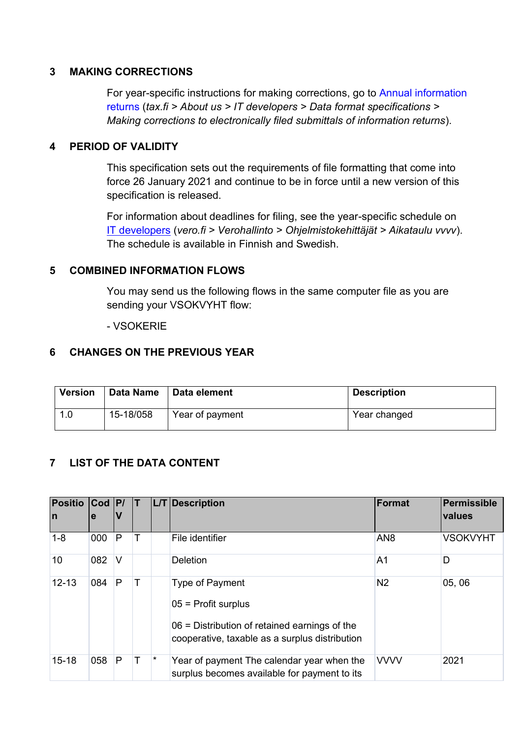#### <span id="page-2-0"></span>**3 MAKING CORRECTIONS**

For year-specific instructions for making corrections, go to [Annual information](https://www.vero.fi/en/About-us/it_developer/data-format-specifications/annual_information_returns__instruction/)  [returns](https://www.vero.fi/en/About-us/it_developer/data-format-specifications/annual_information_returns__instruction/) (*tax.fi > About us > IT developers > Data format specifications > Making corrections to electronically filed submittals of information returns*).

#### <span id="page-2-1"></span>**4 PERIOD OF VALIDITY**

This specification sets out the requirements of file formatting that come into force 26 January 2021 and continue to be in force until a new version of this specification is released.

For information about deadlines for filing, see the year-specific schedule on [IT developers](https://www.vero.fi/tietoa-verohallinnosta/kehittaja/) (*vero.fi > Verohallinto > Ohjelmistokehittäjät > Aikataulu vvvv*). The schedule is available in Finnish and Swedish.

#### <span id="page-2-2"></span>**5 COMBINED INFORMATION FLOWS**

You may send us the following flows in the same computer file as you are sending your VSOKVYHT flow:

- VSOKERIE

#### <span id="page-2-3"></span>**6 CHANGES ON THE PREVIOUS YEAR**

| <b>Version</b> | <b>Data Name</b> | <b>Oata element</b> | <b>Description</b> |
|----------------|------------------|---------------------|--------------------|
|                | 15-18/058        | Year of payment     | Year changed       |

#### <span id="page-2-4"></span>**7 LIST OF THE DATA CONTENT**

| <b>Positio</b><br>In | $\text{Cod}$  P/<br>e |        |   |         | L/T Description                                                                                                                               | Format          | Permissible<br>values |
|----------------------|-----------------------|--------|---|---------|-----------------------------------------------------------------------------------------------------------------------------------------------|-----------------|-----------------------|
| $1 - 8$              | 000                   | P      |   |         | File identifier                                                                                                                               | AN <sub>8</sub> | <b>VSOKVYHT</b>       |
| 10                   | 082                   | $\vee$ |   |         | Deletion                                                                                                                                      | A1              | D                     |
| $12 - 13$            | 084                   | P      |   |         | Type of Payment<br>$05$ = Profit surplus<br>$06$ = Distribution of retained earnings of the<br>cooperative, taxable as a surplus distribution | N <sub>2</sub>  | 05,06                 |
| $15 - 18$            | 058                   | P      | Т | $\star$ | Year of payment The calendar year when the<br>surplus becomes available for payment to its                                                    | <b>VVVV</b>     | 2021                  |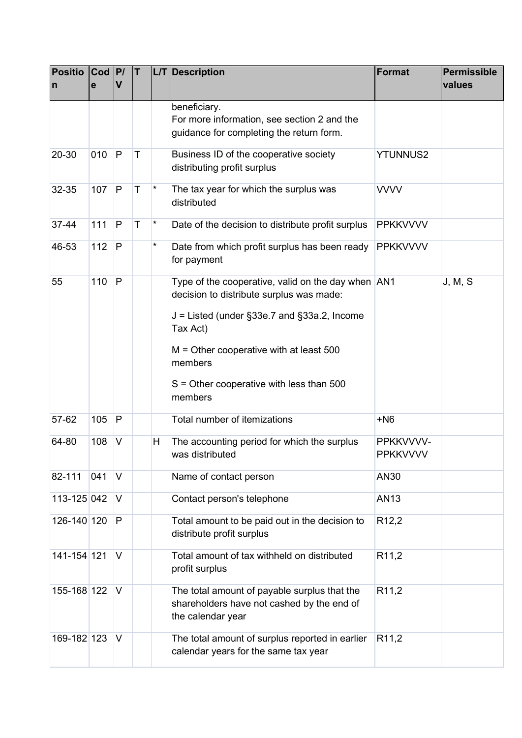| <b>Positio</b><br>n | $ $ Cod $ P $<br>е | $\mathbf v$ | IT. |          | L/T Description                                                                                                                                             | <b>Format</b>                | <b>Permissible</b><br>values |
|---------------------|--------------------|-------------|-----|----------|-------------------------------------------------------------------------------------------------------------------------------------------------------------|------------------------------|------------------------------|
|                     |                    |             |     |          | beneficiary.<br>For more information, see section 2 and the<br>guidance for completing the return form.                                                     |                              |                              |
| 20-30               | 010                | P           | T   |          | Business ID of the cooperative society<br>distributing profit surplus                                                                                       | <b>YTUNNUS2</b>              |                              |
| 32-35               | 107                | P           | T   | $^\star$ | The tax year for which the surplus was<br>distributed                                                                                                       | <b>VVVV</b>                  |                              |
| 37-44               | 111                | P           | T   | $^\star$ | Date of the decision to distribute profit surplus                                                                                                           | <b>PPKKVVVV</b>              |                              |
| 46-53               | 112                | P           |     | $^\star$ | Date from which profit surplus has been ready<br>for payment                                                                                                | <b>PPKKVVVV</b>              |                              |
| 55                  | 110                | P           |     |          | Type of the cooperative, valid on the day when AN1<br>decision to distribute surplus was made:<br>$J =$ Listed (under §33e.7 and §33a.2, Income<br>Tax Act) |                              | J, M, S                      |
|                     |                    |             |     |          | $M =$ Other cooperative with at least 500<br>members<br>$S =$ Other cooperative with less than 500                                                          |                              |                              |
|                     |                    |             |     |          | members                                                                                                                                                     |                              |                              |
| 57-62               | 105                | P           |     |          | Total number of itemizations                                                                                                                                | $+N6$                        |                              |
| 64-80               | 108                | V           |     | Н        | The accounting period for which the surplus<br>was distributed                                                                                              | PPKKVVVV-<br><b>PPKKVVVV</b> |                              |
| 82-111              | 041                | V           |     |          | Name of contact person                                                                                                                                      | AN30                         |                              |
| 113-125 042         |                    | V           |     |          | Contact person's telephone                                                                                                                                  | <b>AN13</b>                  |                              |
| 126-140 120         |                    | P           |     |          | Total amount to be paid out in the decision to<br>distribute profit surplus                                                                                 | R <sub>12,2</sub>            |                              |
| 141-154 121         |                    | V           |     |          | Total amount of tax withheld on distributed<br>profit surplus                                                                                               | R <sub>11,2</sub>            |                              |
| 155-168 122         |                    | V           |     |          | The total amount of payable surplus that the<br>shareholders have not cashed by the end of<br>the calendar year                                             | R <sub>11,2</sub>            |                              |
| 169-182 123         |                    | V           |     |          | The total amount of surplus reported in earlier<br>calendar years for the same tax year                                                                     | R <sub>11,2</sub>            |                              |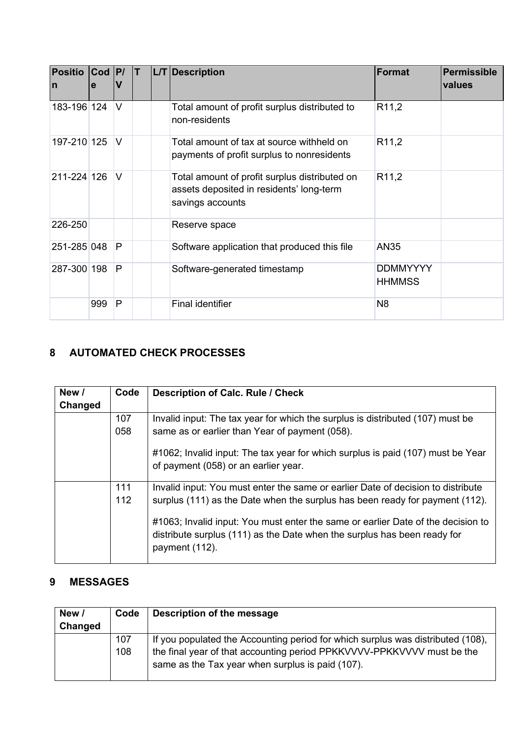| <b>Positio</b><br>In | $Cod$ $ P $<br>e | v      | IT. | L/T Description                                                                                               | Format                           | <b>Permissible</b><br>values |
|----------------------|------------------|--------|-----|---------------------------------------------------------------------------------------------------------------|----------------------------------|------------------------------|
| 183-196 124          |                  | $\vee$ |     | Total amount of profit surplus distributed to<br>non-residents                                                | R <sub>11,2</sub>                |                              |
| 197-210 125          |                  | $\vee$ |     | Total amount of tax at source withheld on<br>payments of profit surplus to nonresidents                       | R <sub>11,2</sub>                |                              |
| 211-224 126          |                  | $\vee$ |     | Total amount of profit surplus distributed on<br>assets deposited in residents' long-term<br>savings accounts | R <sub>11,2</sub>                |                              |
| 226-250              |                  |        |     | Reserve space                                                                                                 |                                  |                              |
| 251-285 048          |                  | P      |     | Software application that produced this file                                                                  | AN35                             |                              |
| 287-300 198          |                  | P      |     | Software-generated timestamp                                                                                  | <b>DDMMYYYY</b><br><b>HHMMSS</b> |                              |
|                      | 999              | P      |     | Final identifier                                                                                              | N <sub>8</sub>                   |                              |

## <span id="page-4-0"></span>**8 AUTOMATED CHECK PROCESSES**

| New /   | Code | Description of Calc. Rule / Check                                                                                                                                              |
|---------|------|--------------------------------------------------------------------------------------------------------------------------------------------------------------------------------|
| Changed |      |                                                                                                                                                                                |
|         | 107  | Invalid input: The tax year for which the surplus is distributed (107) must be                                                                                                 |
|         | 058  | same as or earlier than Year of payment (058).                                                                                                                                 |
|         |      | #1062; Invalid input: The tax year for which surplus is paid (107) must be Year<br>of payment (058) or an earlier year.                                                        |
|         | 111  | Invalid input: You must enter the same or earlier Date of decision to distribute                                                                                               |
|         | 112  | surplus (111) as the Date when the surplus has been ready for payment (112).                                                                                                   |
|         |      | #1063; Invalid input: You must enter the same or earlier Date of the decision to<br>distribute surplus (111) as the Date when the surplus has been ready for<br>payment (112). |

### <span id="page-4-1"></span>**9 MESSAGES**

| New /   | Code | Description of the message                                                                                                 |
|---------|------|----------------------------------------------------------------------------------------------------------------------------|
| Changed |      |                                                                                                                            |
|         | 107  | If you populated the Accounting period for which surplus was distributed (108),                                            |
|         | 108  | the final year of that accounting period PPKKVVVV-PPKKVVVV must be the<br>same as the Tax year when surplus is paid (107). |